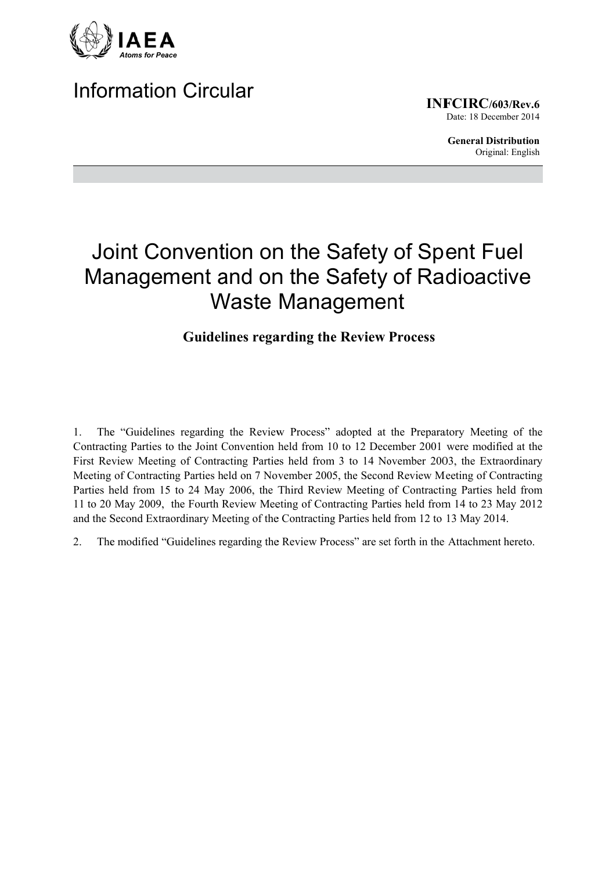

# Information Circular

**INF FCIRC/60 03/Rev.6** Date: 18 December 2014

> **General Distribution** Original: English

# Joint Convention on the Safety of Spent Fuel Management and on the Safety of Radioactive Waste Management

### **Guidel lines rega arding the e Review Process**

1. The "Guidelines regarding the Review Process" adopted at the Preparatory Meeting of the Contracting Parties to the Joint Convention held from 10 to 12 December 2001 were modified at the First Review Meeting of Contracting Parties held from 3 to 14 November 2003, the Extraordinary Meeting of Contracting Parties held on 7 November 2005, the Second Review Meeting of Contracting Parties held from 15 to 24 May 2006, the Third Review Meeting of Contracting Parties held from 11 to 20 May 2009, the Fourth Review Meeting of Contracting Parties held from 14 to 23 May 2012 and the Second Extraordinary Meeting of the Contracting Parties held from 12 to 13 May 2014.

2. The modified "Guidelines regarding the Review Process" are set forth in the Attachment hereto.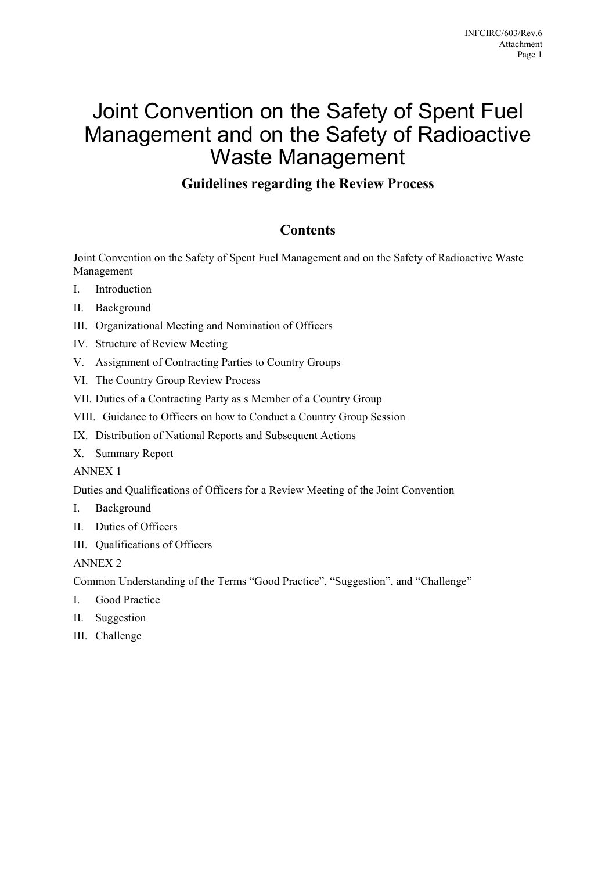# Joint Convention on the Safety of Spent Fuel Management and on the Safety of Radioactive Waste Management

### **Guidelines regarding the Review Process**

### **Contents**

Joint Convention on the Safety of Spent Fuel Management and on the Safety of Radioactive Waste Management

- I. Introduction
- II. Background
- III. Organizational Meeting and Nomination of Officers
- IV. Structure of Review Meeting
- V. Assignment of Contracting Parties to Country Groups
- VI. The Country Group Review Process
- VII. Duties of a Contracting Party as s Member of a Country Group
- VIII. Guidance to Officers on how to Conduct a Country Group Session
- IX. Distribution of National Reports and Subsequent Actions
- X. Summary Report

ANNEX 1

Duties and Qualifications of Officers for a Review Meeting of the Joint Convention

- I. Background
- II. Duties of Officers
- III. Qualifications of Officers

ANNEX 2

Common Understanding of the Terms "Good Practice", "Suggestion", and "Challenge"

- I. Good Practice
- II. Suggestion
- III. Challenge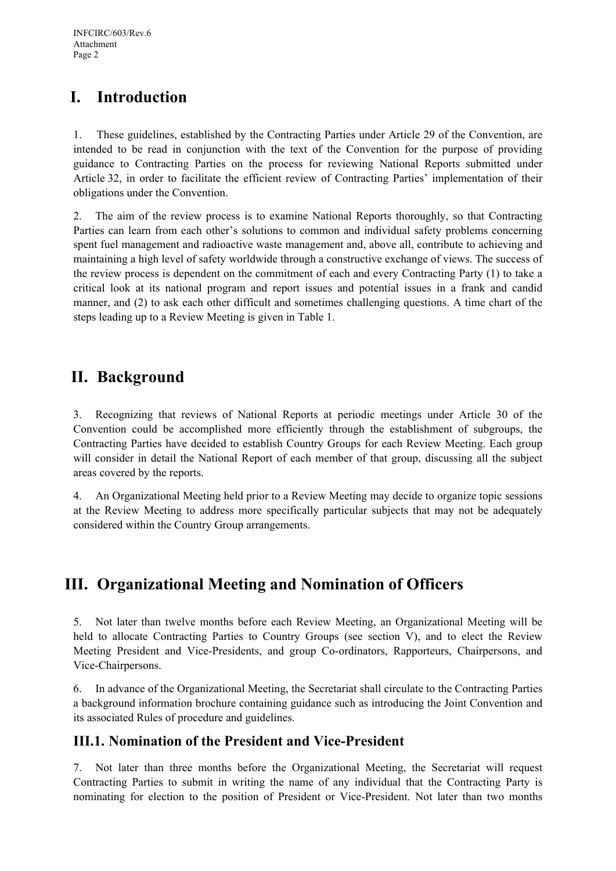# **I. Introduction**

1. These guidelines, established by the Contracting Parties under Article 29 of the Convention, are intended to be read in conjunction with the text of the Convention for the purpose of providing guidance to Contracting Parties on the process for reviewing National Reports submitted under Article 32, in order to facilitate the efficient review of Contracting Parties' implementation of their obligations under the Convention.

2. The aim of the review process is to examine National Reports thoroughly, so that Contracting Parties can learn from each other's solutions to common and individual safety problems concerning spent fuel management and radioactive waste management and, above all, contribute to achieving and maintaining a high level of safety worldwide through a constructive exchange of views. The success of the review process is dependent on the commitment of each and every Contracting Party (1) to take a critical look at its national program and report issues and potential issues in a frank and candid manner, and (2) to ask each other difficult and sometimes challenging questions. A time chart of the steps leading up to a Review Meeting is given in Table 1.

### **II. Background**

3. Recognizing that reviews of National Reports at periodic meetings under Article 30 of the Convention could be accomplished more efficiently through the establishment of subgroups, the Contracting Parties have decided to establish Country Groups for each Review Meeting. Each group will consider in detail the National Report of each member of that group, discussing all the subject areas covered by the reports.

4. An Organizational Meeting held prior to a Review Meeting may decide to organize topic sessions at the Review Meeting to address more specifically particular subjects that may not be adequately considered within the Country Group arrangements.

# **III. Organizational Meeting and Nomination of Officers**

5. Not later than twelve months before each Review Meeting, an Organizational Meeting will be held to allocate Contracting Parties to Country Groups (see section V), and to elect the Review Meeting President and Vice-Presidents, and group Co-ordinators, Rapporteurs, Chairpersons, and Vice-Chairpersons.

6. In advance of the Organizational Meeting, the Secretariat shall circulate to the Contracting Parties a background information brochure containing guidance such as introducing the Joint Convention and its associated Rules of procedure and guidelines.

### **III.1. Nomination of the President and Vice-President**

7. Not later than three months before the Organizational Meeting, the Secretariat will request Contracting Parties to submit in writing the name of any individual that the Contracting Party is nominating for election to the position of President or Vice-President. Not later than two months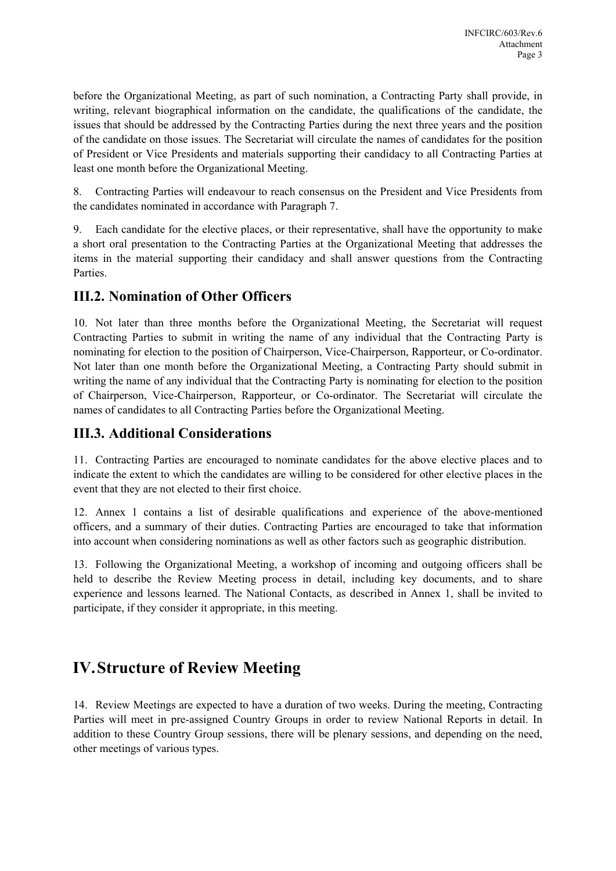before the Organizational Meeting, as part of such nomination, a Contracting Party shall provide, in writing, relevant biographical information on the candidate, the qualifications of the candidate, the issues that should be addressed by the Contracting Parties during the next three years and the position of the candidate on those issues. The Secretariat will circulate the names of candidates for the position of President or Vice Presidents and materials supporting their candidacy to all Contracting Parties at least one month before the Organizational Meeting.

8. Contracting Parties will endeavour to reach consensus on the President and Vice Presidents from the candidates nominated in accordance with Paragraph 7.

Each candidate for the elective places, or their representative, shall have the opportunity to make a short oral presentation to the Contracting Parties at the Organizational Meeting that addresses the items in the material supporting their candidacy and shall answer questions from the Contracting **Parties** 

### **III.2. Nomination of Other Officers**

10. Not later than three months before the Organizational Meeting, the Secretariat will request Contracting Parties to submit in writing the name of any individual that the Contracting Party is nominating for election to the position of Chairperson, Vice-Chairperson, Rapporteur, or Co-ordinator. Not later than one month before the Organizational Meeting, a Contracting Party should submit in writing the name of any individual that the Contracting Party is nominating for election to the position of Chairperson, Vice-Chairperson, Rapporteur, or Co-ordinator. The Secretariat will circulate the names of candidates to all Contracting Parties before the Organizational Meeting.

### **III.3. Additional Considerations**

11. Contracting Parties are encouraged to nominate candidates for the above elective places and to indicate the extent to which the candidates are willing to be considered for other elective places in the event that they are not elected to their first choice.

12. Annex 1 contains a list of desirable qualifications and experience of the above-mentioned officers, and a summary of their duties. Contracting Parties are encouraged to take that information into account when considering nominations as well as other factors such as geographic distribution.

13. Following the Organizational Meeting, a workshop of incoming and outgoing officers shall be held to describe the Review Meeting process in detail, including key documents, and to share experience and lessons learned. The National Contacts, as described in Annex 1, shall be invited to participate, if they consider it appropriate, in this meeting.

# **IV.Structure of Review Meeting**

14. Review Meetings are expected to have a duration of two weeks. During the meeting, Contracting Parties will meet in pre-assigned Country Groups in order to review National Reports in detail. In addition to these Country Group sessions, there will be plenary sessions, and depending on the need, other meetings of various types.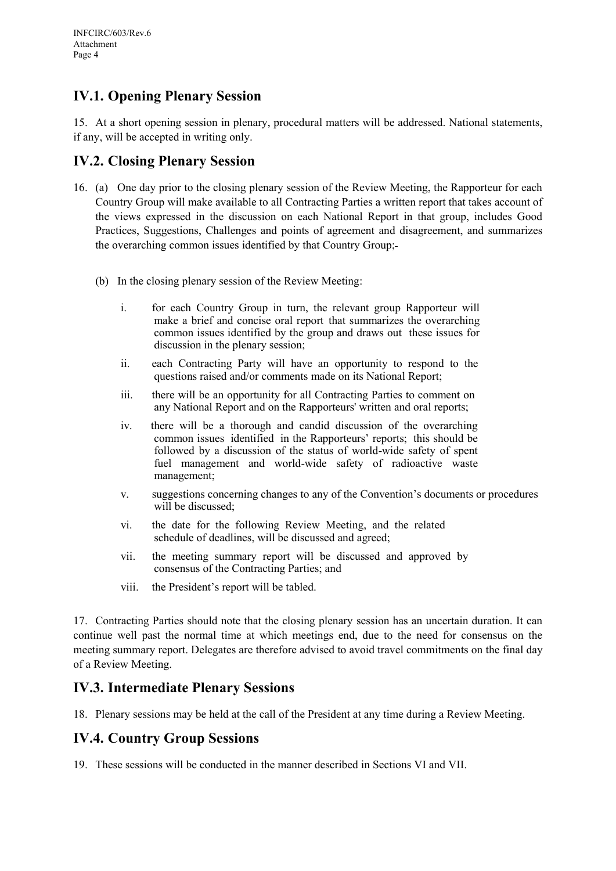### **IV.1. Opening Plenary Session**

15. At a short opening session in plenary, procedural matters will be addressed. National statements, if any, will be accepted in writing only.

### **IV.2. Closing Plenary Session**

- 16. (a) One day prior to the closing plenary session of the Review Meeting, the Rapporteur for each Country Group will make available to all Contracting Parties a written report that takes account of the views expressed in the discussion on each National Report in that group, includes Good Practices, Suggestions, Challenges and points of agreement and disagreement, and summarizes the overarching common issues identified by that Country Group;
	- (b) In the closing plenary session of the Review Meeting:
		- i. for each Country Group in turn, the relevant group Rapporteur will make a brief and concise oral report that summarizes the overarching common issues identified by the group and draws out these issues for discussion in the plenary session;
		- ii. each Contracting Party will have an opportunity to respond to the questions raised and/or comments made on its National Report;
		- iii. there will be an opportunity for all Contracting Parties to comment on any National Report and on the Rapporteurs' written and oral reports;
		- iv. there will be a thorough and candid discussion of the overarching common issues identified in the Rapporteurs' reports; this should be followed by a discussion of the status of world-wide safety of spent fuel management and world-wide safety of radioactive waste management;
		- v. suggestions concerning changes to any of the Convention's documents or procedures will be discussed;
		- vi. the date for the following Review Meeting, and the related schedule of deadlines, will be discussed and agreed;
		- vii. the meeting summary report will be discussed and approved by consensus of the Contracting Parties; and
		- viii. the President's report will be tabled.

17. Contracting Parties should note that the closing plenary session has an uncertain duration. It can continue well past the normal time at which meetings end, due to the need for consensus on the meeting summary report. Delegates are therefore advised to avoid travel commitments on the final day of a Review Meeting.

### **IV.3. Intermediate Plenary Sessions**

18. Plenary sessions may be held at the call of the President at any time during a Review Meeting.

### **IV.4. Country Group Sessions**

19. These sessions will be conducted in the manner described in Sections VI and VII.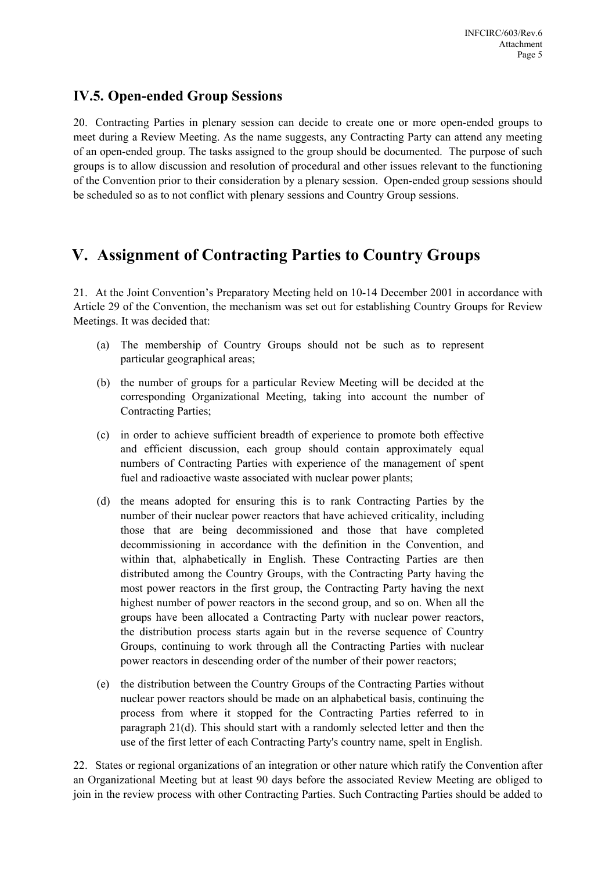### **IV.5. Open-ended Group Sessions**

20. Contracting Parties in plenary session can decide to create one or more open-ended groups to meet during a Review Meeting. As the name suggests, any Contracting Party can attend any meeting of an open-ended group. The tasks assigned to the group should be documented. The purpose of such groups is to allow discussion and resolution of procedural and other issues relevant to the functioning of the Convention prior to their consideration by a plenary session. Open-ended group sessions should be scheduled so as to not conflict with plenary sessions and Country Group sessions.

# **V. Assignment of Contracting Parties to Country Groups**

21. At the Joint Convention's Preparatory Meeting held on 10-14 December 2001 in accordance with Article 29 of the Convention, the mechanism was set out for establishing Country Groups for Review Meetings. It was decided that:

- (a) The membership of Country Groups should not be such as to represent particular geographical areas;
- (b) the number of groups for a particular Review Meeting will be decided at the corresponding Organizational Meeting, taking into account the number of Contracting Parties;
- (c) in order to achieve sufficient breadth of experience to promote both effective and efficient discussion, each group should contain approximately equal numbers of Contracting Parties with experience of the management of spent fuel and radioactive waste associated with nuclear power plants;
- (d) the means adopted for ensuring this is to rank Contracting Parties by the number of their nuclear power reactors that have achieved criticality, including those that are being decommissioned and those that have completed decommissioning in accordance with the definition in the Convention, and within that, alphabetically in English. These Contracting Parties are then distributed among the Country Groups, with the Contracting Party having the most power reactors in the first group, the Contracting Party having the next highest number of power reactors in the second group, and so on. When all the groups have been allocated a Contracting Party with nuclear power reactors, the distribution process starts again but in the reverse sequence of Country Groups, continuing to work through all the Contracting Parties with nuclear power reactors in descending order of the number of their power reactors;
- (e) the distribution between the Country Groups of the Contracting Parties without nuclear power reactors should be made on an alphabetical basis, continuing the process from where it stopped for the Contracting Parties referred to in paragraph 21(d). This should start with a randomly selected letter and then the use of the first letter of each Contracting Party's country name, spelt in English.

22. States or regional organizations of an integration or other nature which ratify the Convention after an Organizational Meeting but at least 90 days before the associated Review Meeting are obliged to join in the review process with other Contracting Parties. Such Contracting Parties should be added to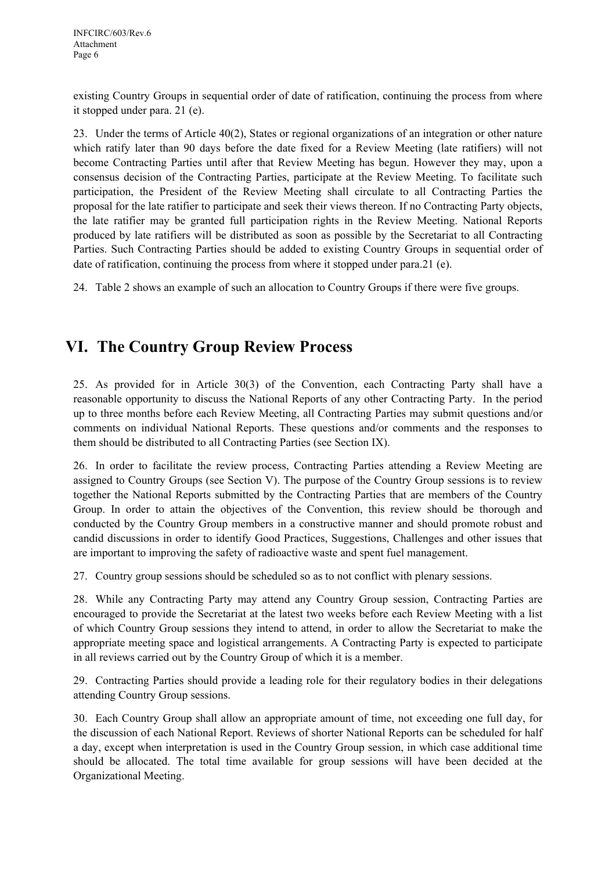existing Country Groups in sequential order of date of ratification, continuing the process from where it stopped under para. 21 (e).

23. Under the terms of Article 40(2), States or regional organizations of an integration or other nature which ratify later than 90 days before the date fixed for a Review Meeting (late ratifiers) will not become Contracting Parties until after that Review Meeting has begun. However they may, upon a consensus decision of the Contracting Parties, participate at the Review Meeting. To facilitate such participation, the President of the Review Meeting shall circulate to all Contracting Parties the proposal for the late ratifier to participate and seek their views thereon. If no Contracting Party objects, the late ratifier may be granted full participation rights in the Review Meeting. National Reports produced by late ratifiers will be distributed as soon as possible by the Secretariat to all Contracting Parties. Such Contracting Parties should be added to existing Country Groups in sequential order of date of ratification, continuing the process from where it stopped under para.21 (e).

24. Table 2 shows an example of such an allocation to Country Groups if there were five groups.

# **VI. The Country Group Review Process**

25. As provided for in Article 30(3) of the Convention, each Contracting Party shall have a reasonable opportunity to discuss the National Reports of any other Contracting Party. In the period up to three months before each Review Meeting, all Contracting Parties may submit questions and/or comments on individual National Reports. These questions and/or comments and the responses to them should be distributed to all Contracting Parties (see Section IX).

26. In order to facilitate the review process, Contracting Parties attending a Review Meeting are assigned to Country Groups (see Section V). The purpose of the Country Group sessions is to review together the National Reports submitted by the Contracting Parties that are members of the Country Group. In order to attain the objectives of the Convention, this review should be thorough and conducted by the Country Group members in a constructive manner and should promote robust and candid discussions in order to identify Good Practices, Suggestions, Challenges and other issues that are important to improving the safety of radioactive waste and spent fuel management.

27. Country group sessions should be scheduled so as to not conflict with plenary sessions.

28. While any Contracting Party may attend any Country Group session, Contracting Parties are encouraged to provide the Secretariat at the latest two weeks before each Review Meeting with a list of which Country Group sessions they intend to attend, in order to allow the Secretariat to make the appropriate meeting space and logistical arrangements. A Contracting Party is expected to participate in all reviews carried out by the Country Group of which it is a member.

29. Contracting Parties should provide a leading role for their regulatory bodies in their delegations attending Country Group sessions.

30. Each Country Group shall allow an appropriate amount of time, not exceeding one full day, for the discussion of each National Report. Reviews of shorter National Reports can be scheduled for half a day, except when interpretation is used in the Country Group session, in which case additional time should be allocated. The total time available for group sessions will have been decided at the Organizational Meeting.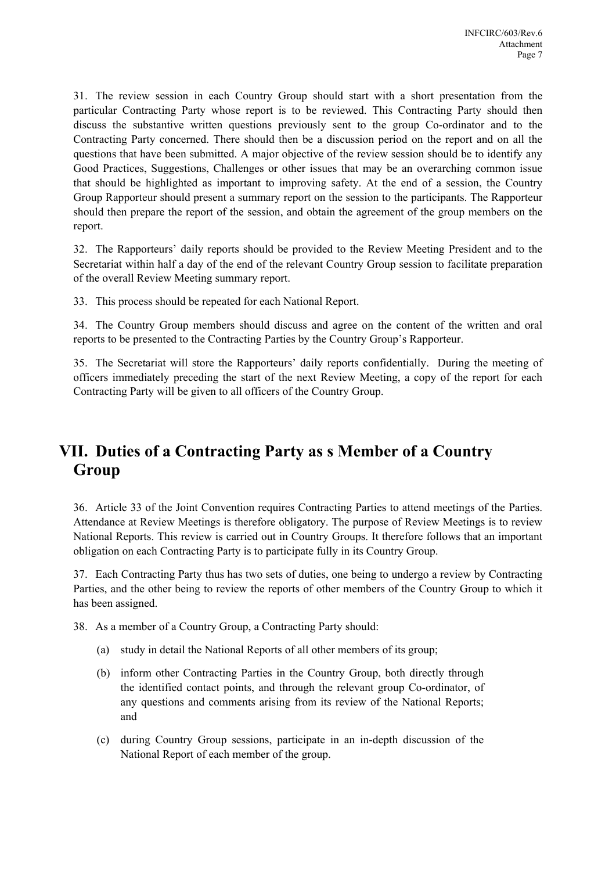31. The review session in each Country Group should start with a short presentation from the particular Contracting Party whose report is to be reviewed. This Contracting Party should then discuss the substantive written questions previously sent to the group Co-ordinator and to the Contracting Party concerned. There should then be a discussion period on the report and on all the questions that have been submitted. A major objective of the review session should be to identify any Good Practices, Suggestions, Challenges or other issues that may be an overarching common issue that should be highlighted as important to improving safety. At the end of a session, the Country Group Rapporteur should present a summary report on the session to the participants. The Rapporteur should then prepare the report of the session, and obtain the agreement of the group members on the report.

32. The Rapporteurs' daily reports should be provided to the Review Meeting President and to the Secretariat within half a day of the end of the relevant Country Group session to facilitate preparation of the overall Review Meeting summary report.

33. This process should be repeated for each National Report.

34. The Country Group members should discuss and agree on the content of the written and oral reports to be presented to the Contracting Parties by the Country Group's Rapporteur.

35. The Secretariat will store the Rapporteurs' daily reports confidentially. During the meeting of officers immediately preceding the start of the next Review Meeting, a copy of the report for each Contracting Party will be given to all officers of the Country Group.

# **VII. Duties of a Contracting Party as s Member of a Country Group**

36. Article 33 of the Joint Convention requires Contracting Parties to attend meetings of the Parties. Attendance at Review Meetings is therefore obligatory. The purpose of Review Meetings is to review National Reports. This review is carried out in Country Groups. It therefore follows that an important obligation on each Contracting Party is to participate fully in its Country Group.

37. Each Contracting Party thus has two sets of duties, one being to undergo a review by Contracting Parties, and the other being to review the reports of other members of the Country Group to which it has been assigned.

38. As a member of a Country Group, a Contracting Party should:

- (a) study in detail the National Reports of all other members of its group;
- (b) inform other Contracting Parties in the Country Group, both directly through the identified contact points, and through the relevant group Co-ordinator, of any questions and comments arising from its review of the National Reports; and
- (c) during Country Group sessions, participate in an in-depth discussion of the National Report of each member of the group.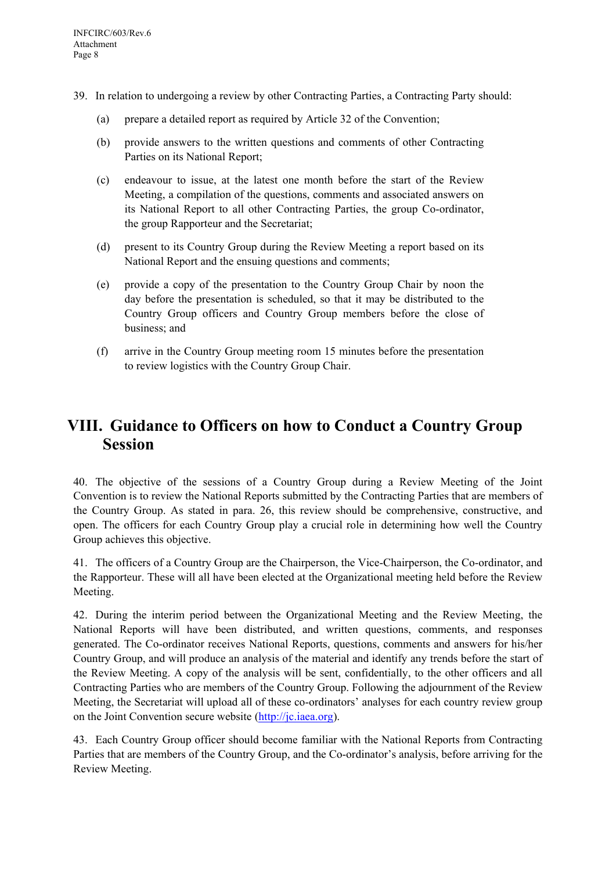- 39. In relation to undergoing a review by other Contracting Parties, a Contracting Party should:
	- (a) prepare a detailed report as required by Article 32 of the Convention;
	- (b) provide answers to the written questions and comments of other Contracting Parties on its National Report;
	- (c) endeavour to issue, at the latest one month before the start of the Review Meeting, a compilation of the questions, comments and associated answers on its National Report to all other Contracting Parties, the group Co-ordinator, the group Rapporteur and the Secretariat;
	- (d) present to its Country Group during the Review Meeting a report based on its National Report and the ensuing questions and comments;
	- (e) provide a copy of the presentation to the Country Group Chair by noon the day before the presentation is scheduled, so that it may be distributed to the Country Group officers and Country Group members before the close of business; and
	- (f) arrive in the Country Group meeting room 15 minutes before the presentation to review logistics with the Country Group Chair.

### **VIII. Guidance to Officers on how to Conduct a Country Group Session**

40. The objective of the sessions of a Country Group during a Review Meeting of the Joint Convention is to review the National Reports submitted by the Contracting Parties that are members of the Country Group. As stated in para. 26, this review should be comprehensive, constructive, and open. The officers for each Country Group play a crucial role in determining how well the Country Group achieves this objective.

41. The officers of a Country Group are the Chairperson, the Vice-Chairperson, the Co-ordinator, and the Rapporteur. These will all have been elected at the Organizational meeting held before the Review Meeting.

42. During the interim period between the Organizational Meeting and the Review Meeting, the National Reports will have been distributed, and written questions, comments, and responses generated. The Co-ordinator receives National Reports, questions, comments and answers for his/her Country Group, and will produce an analysis of the material and identify any trends before the start of the Review Meeting. A copy of the analysis will be sent, confidentially, to the other officers and all Contracting Parties who are members of the Country Group. Following the adjournment of the Review Meeting, the Secretariat will upload all of these co-ordinators' analyses for each country review group on the Joint Convention secure website (http://jc.iaea.org).

43. Each Country Group officer should become familiar with the National Reports from Contracting Parties that are members of the Country Group, and the Co-ordinator's analysis, before arriving for the Review Meeting.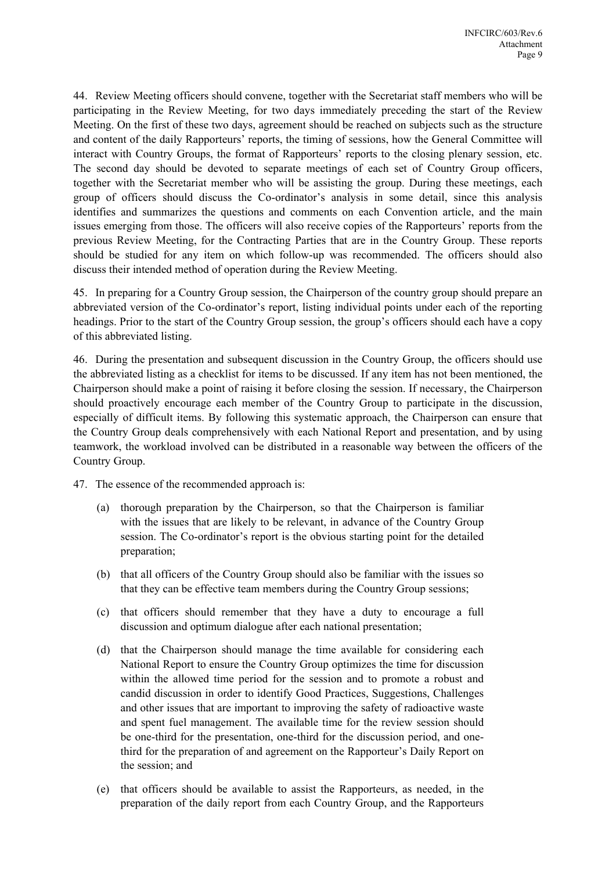44. Review Meeting officers should convene, together with the Secretariat staff members who will be participating in the Review Meeting, for two days immediately preceding the start of the Review Meeting. On the first of these two days, agreement should be reached on subjects such as the structure and content of the daily Rapporteurs' reports, the timing of sessions, how the General Committee will interact with Country Groups, the format of Rapporteurs' reports to the closing plenary session, etc. The second day should be devoted to separate meetings of each set of Country Group officers, together with the Secretariat member who will be assisting the group. During these meetings, each group of officers should discuss the Co-ordinator's analysis in some detail, since this analysis identifies and summarizes the questions and comments on each Convention article, and the main issues emerging from those. The officers will also receive copies of the Rapporteurs' reports from the previous Review Meeting, for the Contracting Parties that are in the Country Group. These reports should be studied for any item on which follow-up was recommended. The officers should also discuss their intended method of operation during the Review Meeting.

45. In preparing for a Country Group session, the Chairperson of the country group should prepare an abbreviated version of the Co-ordinator's report, listing individual points under each of the reporting headings. Prior to the start of the Country Group session, the group's officers should each have a copy of this abbreviated listing.

46. During the presentation and subsequent discussion in the Country Group, the officers should use the abbreviated listing as a checklist for items to be discussed. If any item has not been mentioned, the Chairperson should make a point of raising it before closing the session. If necessary, the Chairperson should proactively encourage each member of the Country Group to participate in the discussion, especially of difficult items. By following this systematic approach, the Chairperson can ensure that the Country Group deals comprehensively with each National Report and presentation, and by using teamwork, the workload involved can be distributed in a reasonable way between the officers of the Country Group.

47. The essence of the recommended approach is:

- (a) thorough preparation by the Chairperson, so that the Chairperson is familiar with the issues that are likely to be relevant, in advance of the Country Group session. The Co-ordinator's report is the obvious starting point for the detailed preparation;
- (b) that all officers of the Country Group should also be familiar with the issues so that they can be effective team members during the Country Group sessions;
- (c) that officers should remember that they have a duty to encourage a full discussion and optimum dialogue after each national presentation;
- (d) that the Chairperson should manage the time available for considering each National Report to ensure the Country Group optimizes the time for discussion within the allowed time period for the session and to promote a robust and candid discussion in order to identify Good Practices, Suggestions, Challenges and other issues that are important to improving the safety of radioactive waste and spent fuel management. The available time for the review session should be one-third for the presentation, one-third for the discussion period, and onethird for the preparation of and agreement on the Rapporteur's Daily Report on the session; and
- (e) that officers should be available to assist the Rapporteurs, as needed, in the preparation of the daily report from each Country Group, and the Rapporteurs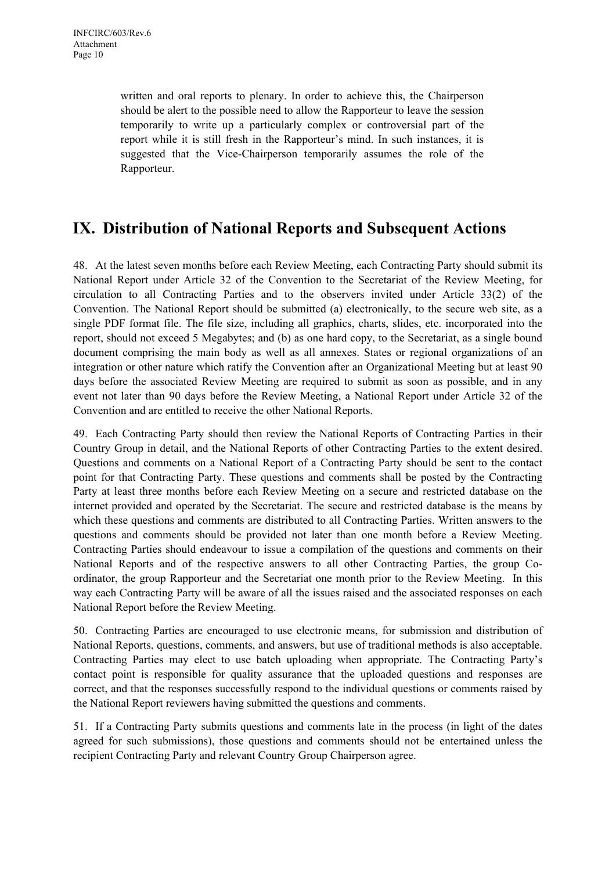written and oral reports to plenary. In order to achieve this, the Chairperson should be alert to the possible need to allow the Rapporteur to leave the session temporarily to write up a particularly complex or controversial part of the report while it is still fresh in the Rapporteur's mind. In such instances, it is suggested that the Vice-Chairperson temporarily assumes the role of the Rapporteur.

# **IX. Distribution of National Reports and Subsequent Actions**

48. At the latest seven months before each Review Meeting, each Contracting Party should submit its National Report under Article 32 of the Convention to the Secretariat of the Review Meeting, for circulation to all Contracting Parties and to the observers invited under Article 33(2) of the Convention. The National Report should be submitted (a) electronically, to the secure web site, as a single PDF format file. The file size, including all graphics, charts, slides, etc. incorporated into the report, should not exceed 5 Megabytes; and (b) as one hard copy, to the Secretariat, as a single bound document comprising the main body as well as all annexes. States or regional organizations of an integration or other nature which ratify the Convention after an Organizational Meeting but at least 90 days before the associated Review Meeting are required to submit as soon as possible, and in any event not later than 90 days before the Review Meeting, a National Report under Article 32 of the Convention and are entitled to receive the other National Reports.

49. Each Contracting Party should then review the National Reports of Contracting Parties in their Country Group in detail, and the National Reports of other Contracting Parties to the extent desired. Questions and comments on a National Report of a Contracting Party should be sent to the contact point for that Contracting Party. These questions and comments shall be posted by the Contracting Party at least three months before each Review Meeting on a secure and restricted database on the internet provided and operated by the Secretariat. The secure and restricted database is the means by which these questions and comments are distributed to all Contracting Parties. Written answers to the questions and comments should be provided not later than one month before a Review Meeting. Contracting Parties should endeavour to issue a compilation of the questions and comments on their National Reports and of the respective answers to all other Contracting Parties, the group Coordinator, the group Rapporteur and the Secretariat one month prior to the Review Meeting. In this way each Contracting Party will be aware of all the issues raised and the associated responses on each National Report before the Review Meeting.

50. Contracting Parties are encouraged to use electronic means, for submission and distribution of National Reports, questions, comments, and answers, but use of traditional methods is also acceptable. Contracting Parties may elect to use batch uploading when appropriate. The Contracting Party's contact point is responsible for quality assurance that the uploaded questions and responses are correct, and that the responses successfully respond to the individual questions or comments raised by the National Report reviewers having submitted the questions and comments.

51. If a Contracting Party submits questions and comments late in the process (in light of the dates agreed for such submissions), those questions and comments should not be entertained unless the recipient Contracting Party and relevant Country Group Chairperson agree.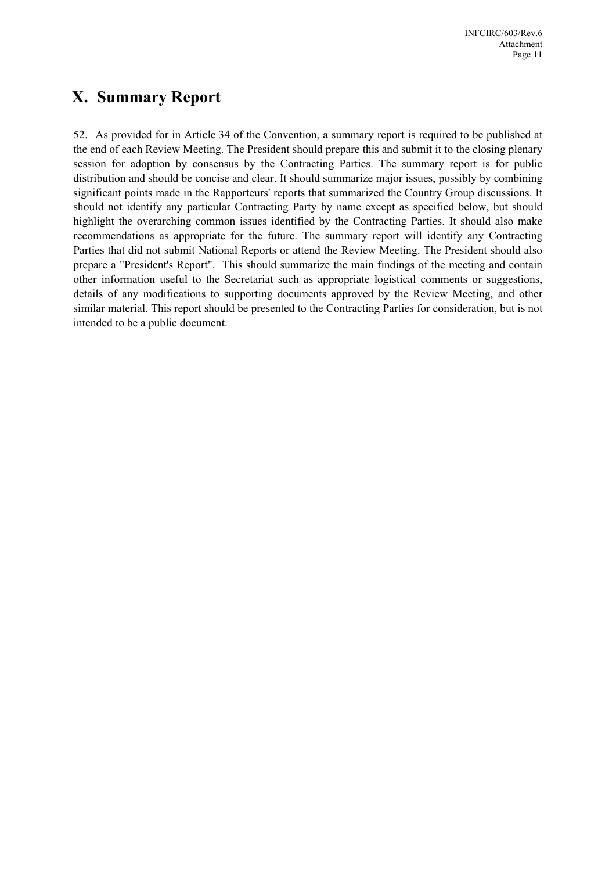# **X. Summary Report**

52. As provided for in Article 34 of the Convention, a summary report is required to be published at the end of each Review Meeting. The President should prepare this and submit it to the closing plenary session for adoption by consensus by the Contracting Parties. The summary report is for public distribution and should be concise and clear. It should summarize major issues, possibly by combining significant points made in the Rapporteurs' reports that summarized the Country Group discussions. It should not identify any particular Contracting Party by name except as specified below, but should highlight the overarching common issues identified by the Contracting Parties. It should also make recommendations as appropriate for the future. The summary report will identify any Contracting Parties that did not submit National Reports or attend the Review Meeting. The President should also prepare a "President's Report". This should summarize the main findings of the meeting and contain other information useful to the Secretariat such as appropriate logistical comments or suggestions, details of any modifications to supporting documents approved by the Review Meeting, and other similar material. This report should be presented to the Contracting Parties for consideration, but is not intended to be a public document.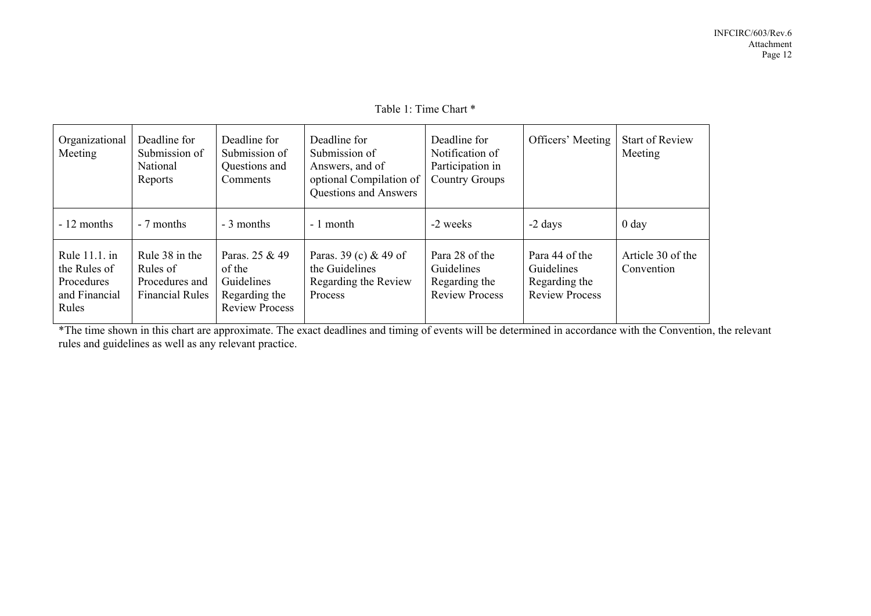| Organizational<br>Meeting                                             | Deadline for<br>Submission of<br>National<br>Reports                   | Deadline for<br>Submission of<br>Questions and<br>Comments                       | Deadline for<br>Submission of<br>Answers, and of<br>optional Compilation of<br>Questions and Answers | Deadline for<br>Notification of<br>Participation in<br><b>Country Groups</b>  | Officers' Meeting                                                      | <b>Start of Review</b><br>Meeting |
|-----------------------------------------------------------------------|------------------------------------------------------------------------|----------------------------------------------------------------------------------|------------------------------------------------------------------------------------------------------|-------------------------------------------------------------------------------|------------------------------------------------------------------------|-----------------------------------|
| $-12$ months                                                          | - 7 months                                                             | - 3 months                                                                       | - 1 month                                                                                            | -2 weeks                                                                      | -2 days                                                                | 0 <sub>day</sub>                  |
| Rule 11.1. in<br>the Rules of<br>Procedures<br>and Financial<br>Rules | Rule 38 in the<br>Rules of<br>Procedures and<br><b>Financial Rules</b> | Paras. 25 & 49<br>of the<br>Guidelines<br>Regarding the<br><b>Review Process</b> | Paras. 39 (c) & 49 of<br>the Guidelines<br>Regarding the Review<br>Process                           | Para 28 of the<br><b>Guidelines</b><br>Regarding the<br><b>Review Process</b> | Para 44 of the<br>Guidelines<br>Regarding the<br><b>Review Process</b> | Article 30 of the<br>Convention   |

Table 1: Time Chart \*

\*The time shown in this chart are approximate. The exact deadlines and timing of events will be determined in accordance with the Convention, the relevant rules and guidelines as well as any relevant practice.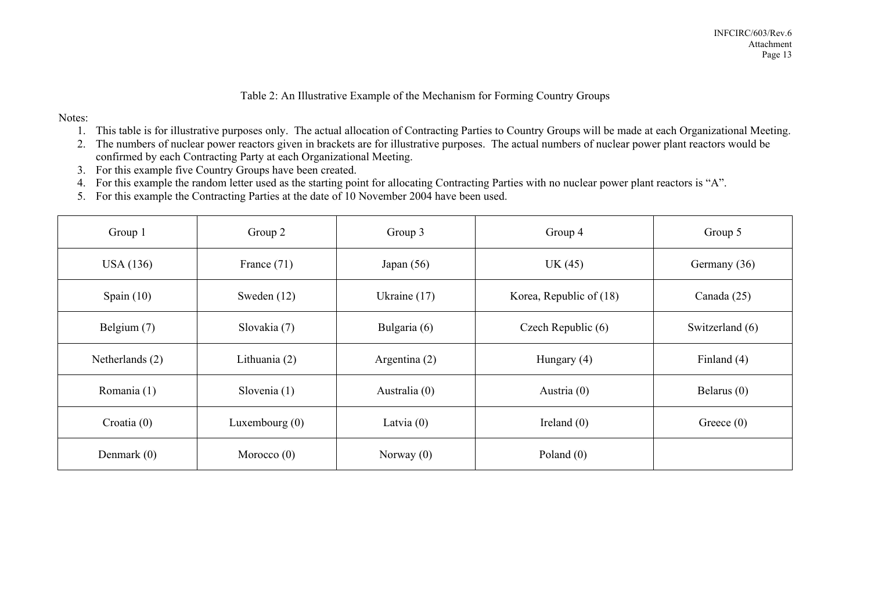#### Table 2: An Illustrative Example of the Mechanism for Forming Country Groups

Notes:

- 1. This table is for illustrative purposes only. The actual allocation of Contracting Parties to Country Groups will be made at each Organizational Meeting.
- 2. The numbers of nuclear power reactors given in brackets are for illustrative purposes. The actual numbers of nuclear power plant reactors would be confirmed by each Contracting Party at each Organizational Meeting.
- 3. For this example five Country Groups have been created.
- 4. For this example the random letter used as the starting point for allocating Contracting Parties with no nuclear power plant reactors is "A".
- 5. For this example the Contracting Parties at the date of 10 November 2004 have been used.

| Group 1           | Group 2          | Group 3        | Group 4                   | Group 5         |
|-------------------|------------------|----------------|---------------------------|-----------------|
| <b>USA</b> (136)  | France (71)      | Japan $(56)$   | UK(45)                    | Germany (36)    |
| Spain $(10)$      | Sweden $(12)$    | Ukraine $(17)$ | Korea, Republic of $(18)$ | Canada (25)     |
| Belgium (7)       | Slovakia (7)     | Bulgaria (6)   | Czech Republic (6)        | Switzerland (6) |
| Netherlands $(2)$ | Lithuania (2)    | Argentina (2)  | Hungary $(4)$             | Finland $(4)$   |
| Romania (1)       | Slovenia (1)     | Australia (0)  | Austria (0)               | Belarus $(0)$   |
| Croatia $(0)$     | Luxembourg $(0)$ | Latvia $(0)$   | Ireland $(0)$             | Greece $(0)$    |
| Denmark $(0)$     | Morocco $(0)$    | Norway $(0)$   | Poland $(0)$              |                 |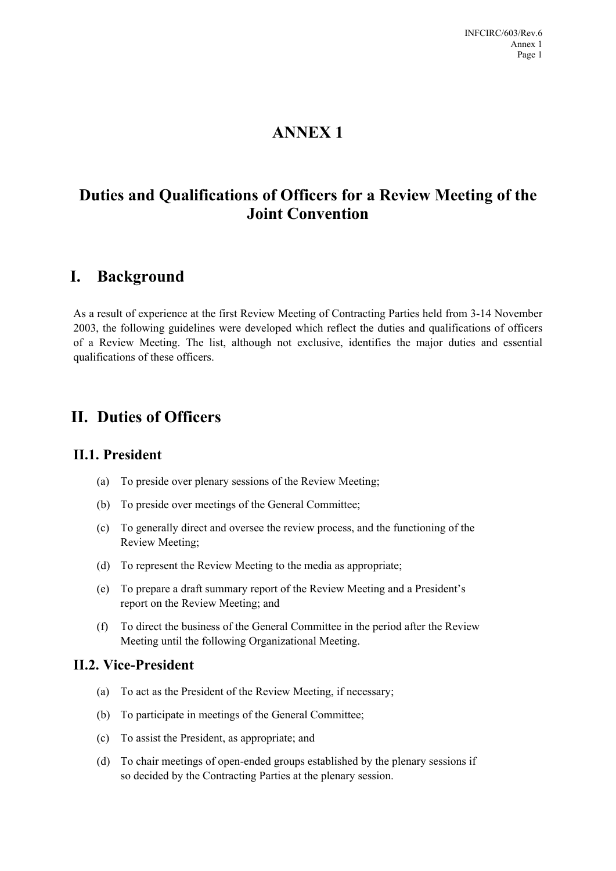# **ANNEX 1**

# **Duties and Qualifications of Officers for a Review Meeting of the Joint Convention**

### **I. Background**

As a result of experience at the first Review Meeting of Contracting Parties held from 3-14 November 2003, the following guidelines were developed which reflect the duties and qualifications of officers of a Review Meeting. The list, although not exclusive, identifies the major duties and essential qualifications of these officers.

# **II. Duties of Officers**

### **II.1. President**

- (a) To preside over plenary sessions of the Review Meeting;
- (b) To preside over meetings of the General Committee;
- (c) To generally direct and oversee the review process, and the functioning of the Review Meeting;
- (d) To represent the Review Meeting to the media as appropriate;
- (e) To prepare a draft summary report of the Review Meeting and a President's report on the Review Meeting; and
- (f) To direct the business of the General Committee in the period after the Review Meeting until the following Organizational Meeting.

### **II.2. Vice-President**

- (a) To act as the President of the Review Meeting, if necessary;
- (b) To participate in meetings of the General Committee;
- (c) To assist the President, as appropriate; and
- (d) To chair meetings of open-ended groups established by the plenary sessions if so decided by the Contracting Parties at the plenary session.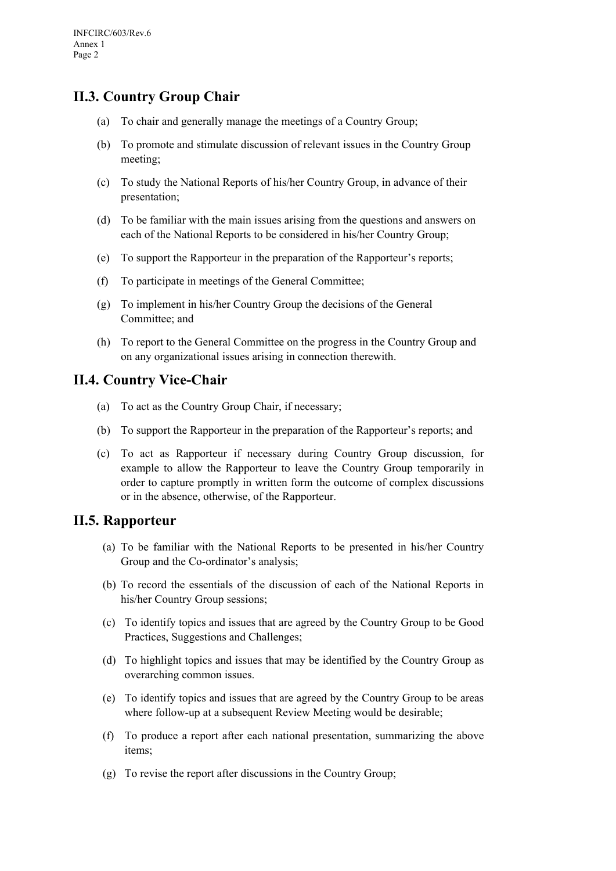### **II.3. Country Group Chair**

- (a) To chair and generally manage the meetings of a Country Group;
- (b) To promote and stimulate discussion of relevant issues in the Country Group meeting;
- (c) To study the National Reports of his/her Country Group, in advance of their presentation;
- (d) To be familiar with the main issues arising from the questions and answers on each of the National Reports to be considered in his/her Country Group;
- (e) To support the Rapporteur in the preparation of the Rapporteur's reports;
- (f) To participate in meetings of the General Committee;
- (g) To implement in his/her Country Group the decisions of the General Committee; and
- (h) To report to the General Committee on the progress in the Country Group and on any organizational issues arising in connection therewith.

### **II.4. Country Vice-Chair**

- (a) To act as the Country Group Chair, if necessary;
- (b) To support the Rapporteur in the preparation of the Rapporteur's reports; and
- (c) To act as Rapporteur if necessary during Country Group discussion, for example to allow the Rapporteur to leave the Country Group temporarily in order to capture promptly in written form the outcome of complex discussions or in the absence, otherwise, of the Rapporteur.

### **II.5. Rapporteur**

- (a) To be familiar with the National Reports to be presented in his/her Country Group and the Co-ordinator's analysis;
- (b) To record the essentials of the discussion of each of the National Reports in his/her Country Group sessions;
- (c) To identify topics and issues that are agreed by the Country Group to be Good Practices, Suggestions and Challenges;
- (d) To highlight topics and issues that may be identified by the Country Group as overarching common issues.
- (e) To identify topics and issues that are agreed by the Country Group to be areas where follow-up at a subsequent Review Meeting would be desirable;
- (f) To produce a report after each national presentation, summarizing the above items;
- (g) To revise the report after discussions in the Country Group;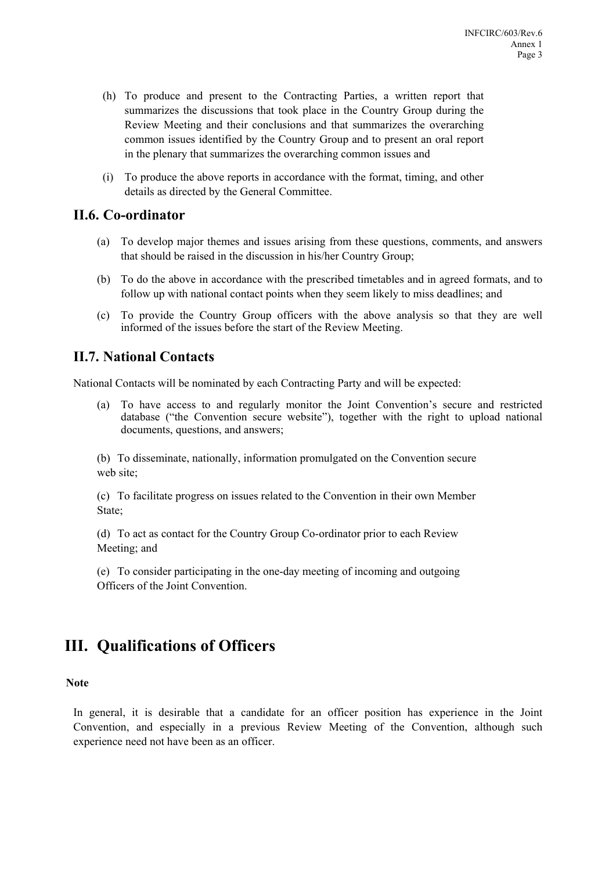- (h) To produce and present to the Contracting Parties, a written report that summarizes the discussions that took place in the Country Group during the Review Meeting and their conclusions and that summarizes the overarching common issues identified by the Country Group and to present an oral report in the plenary that summarizes the overarching common issues and
- (i) To produce the above reports in accordance with the format, timing, and other details as directed by the General Committee.

### **II.6. Co-ordinator**

- (a) To develop major themes and issues arising from these questions, comments, and answers that should be raised in the discussion in his/her Country Group;
- (b) To do the above in accordance with the prescribed timetables and in agreed formats, and to follow up with national contact points when they seem likely to miss deadlines; and
- (c) To provide the Country Group officers with the above analysis so that they are well informed of the issues before the start of the Review Meeting.

### **II.7. National Contacts**

National Contacts will be nominated by each Contracting Party and will be expected:

(a) To have access to and regularly monitor the Joint Convention's secure and restricted database ("the Convention secure website"), together with the right to upload national documents, questions, and answers;

(b) To disseminate, nationally, information promulgated on the Convention secure web site;

(c) To facilitate progress on issues related to the Convention in their own Member State;

(d) To act as contact for the Country Group Co-ordinator prior to each Review Meeting; and

(e) To consider participating in the one-day meeting of incoming and outgoing Officers of the Joint Convention.

# **III. Qualifications of Officers**

#### **Note**

In general, it is desirable that a candidate for an officer position has experience in the Joint Convention, and especially in a previous Review Meeting of the Convention, although such experience need not have been as an officer.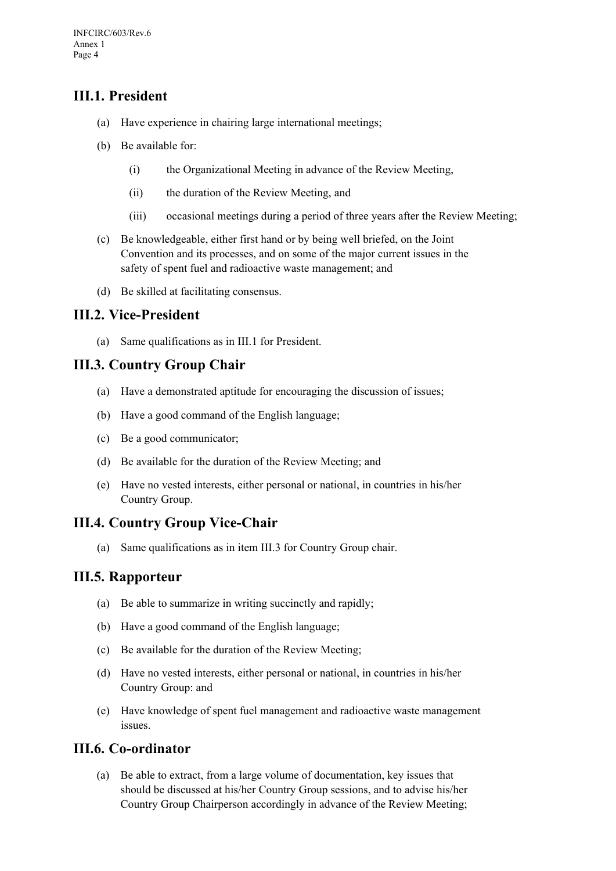### **III.1. President**

- (a) Have experience in chairing large international meetings;
- (b) Be available for:
	- (i) the Organizational Meeting in advance of the Review Meeting,
	- (ii) the duration of the Review Meeting, and
	- (iii) occasional meetings during a period of three years after the Review Meeting;
- (c) Be knowledgeable, either first hand or by being well briefed, on the Joint Convention and its processes, and on some of the major current issues in the safety of spent fuel and radioactive waste management; and
- (d) Be skilled at facilitating consensus.

### **III.2. Vice-President**

(a) Same qualifications as in III.1 for President.

#### **III.3. Country Group Chair**

- (a) Have a demonstrated aptitude for encouraging the discussion of issues;
- (b) Have a good command of the English language;
- (c) Be a good communicator;
- (d) Be available for the duration of the Review Meeting; and
- (e) Have no vested interests, either personal or national, in countries in his/her Country Group.

### **III.4. Country Group Vice-Chair**

(a) Same qualifications as in item III.3 for Country Group chair.

### **III.5. Rapporteur**

- (a) Be able to summarize in writing succinctly and rapidly;
- (b) Have a good command of the English language;
- (c) Be available for the duration of the Review Meeting;
- (d) Have no vested interests, either personal or national, in countries in his/her Country Group: and
- (e) Have knowledge of spent fuel management and radioactive waste management issues.

### **III.6. Co-ordinator**

(a) Be able to extract, from a large volume of documentation, key issues that should be discussed at his/her Country Group sessions, and to advise his/her Country Group Chairperson accordingly in advance of the Review Meeting;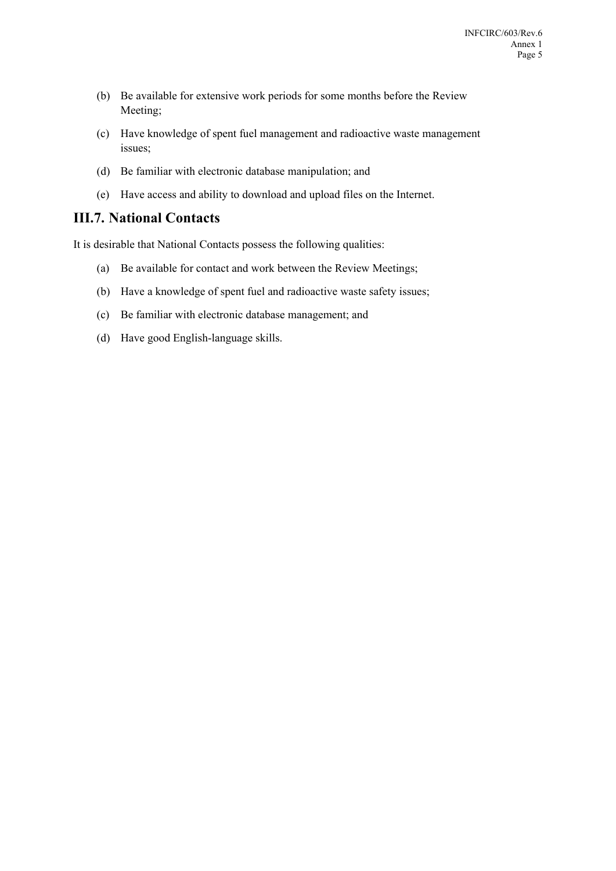- (b) Be available for extensive work periods for some months before the Review Meeting;
- (c) Have knowledge of spent fuel management and radioactive waste management issues;
- (d) Be familiar with electronic database manipulation; and
- (e) Have access and ability to download and upload files on the Internet.

### **III.7. National Contacts**

It is desirable that National Contacts possess the following qualities:

- (a) Be available for contact and work between the Review Meetings;
- (b) Have a knowledge of spent fuel and radioactive waste safety issues;
- (c) Be familiar with electronic database management; and
- (d) Have good English-language skills.